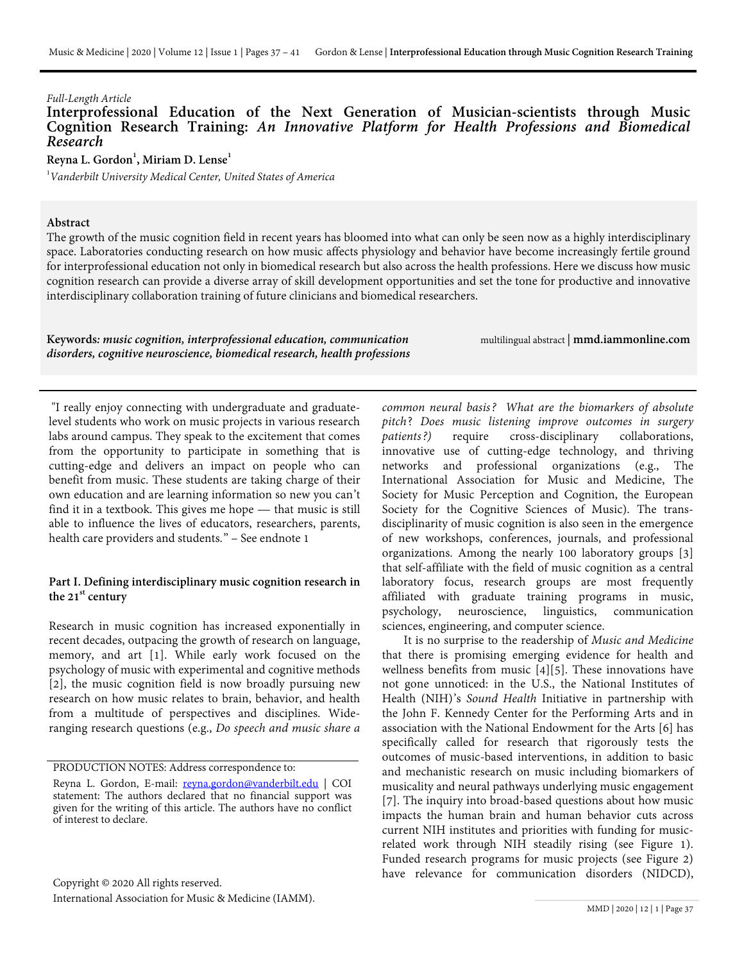# *Full-Length Article* Cognition Research Training: *An Innovative Platform for Health Professions and Biomedical*<br>Research

 $\mathsf{Reyna}\ \mathsf{L.\ Gordon}^1, \mathsf{Miriam}\ \mathsf{D.\ Lense}^1$ 

1 *Vanderbilt University Medical Center, United States of America*

#### **Abstract**

The growth of the music cognition field in recent years has bloomed into what can only be seen now as a highly interdisciplinary space. Laboratories conducting research on how music affects physiology and behavior have become increasingly fertile ground for interprofessional education not only in biomedical research but also across the health professions. Here we discuss how music cognition research can provide a diverse array of skill development opportunities and set the tone for productive and innovative interdisciplinary collaboration training of future clinicians and biomedical researchers.

**Keywords***: music cognition, interprofessional education, communication disorders, cognitive neuroscience, biomedical research, health professions* multilingual abstract | **mmd.iammonline.com**

"I really enjoy connecting with undergraduate and graduatelevel students who work on music projects in various research labs around campus. They speak to the excitement that comes from the opportunity to participate in something that is cutting-edge and delivers an impact on people who can benefit from music. These students are taking charge of their own education and are learning information so new you can't find it in a textbook. This gives me hope — that music is still able to influence the lives of educators, researchers, parents, health care providers and students." – See endnote 1

# **Part I. Defining interdisciplinary music cognition research in**  the 21<sup>st</sup> century

Research in music cognition has increased exponentially in recent decades, outpacing the growth of research on language, memory, and art [1]. While early work focused on the psychology of music with experimental and cognitive methods [2], the music cognition field is now broadly pursuing new research on how music relates to brain, behavior, and health from a multitude of perspectives and disciplines. Wideranging research questions (e.g., *Do speech and music share a* 

PRODUCTION NOTES: Address correspondence to:

*common neural basis? What are the biomarkers of absolute pitch*? *Does music listening improve outcomes in surgery patients?)* require cross-disciplinary collaborations, innovative use of cutting-edge technology, and thriving networks and professional organizations (e.g., The International Association for Music and Medicine, The Society for Music Perception and Cognition, the European Society for the Cognitive Sciences of Music). The transdisciplinarity of music cognition is also seen in the emergence of new workshops, conferences, journals, and professional organizations. Among the nearly 100 laboratory groups [3] that self-affiliate with the field of music cognition as a central laboratory focus, research groups are most frequently affiliated with graduate training programs in music, psychology, neuroscience, linguistics, communication psychology, neuroscience, linguistics, communication sciences, engineering, and computer science.

It is no surprise to the readership of *Music and Medicine*  that there is promising emerging evidence for health and wellness benefits from music [4][5]. These innovations have not gone unnoticed: in the U.S., the National Institutes of Health (NIH)'s *Sound Health* Initiative in partnership with the John F. Kennedy Center for the Performing Arts and in association with the National Endowment for the Arts [6] has specifically called for research that rigorously tests the outcomes of music-based interventions, in addition to basic and mechanistic research on music including biomarkers of musicality and neural pathways underlying music engagement [7]. The inquiry into broad-based questions about how music impacts the human brain and human behavior cuts across current NIH institutes and priorities with funding for musicrelated work through NIH steadily rising (see Figure 1). Funded research programs for music projects (see Figure 2) have relevance for communication disorders (NIDCD),

Reyna L. Gordon, E-mail: <u>reyna.gordon@vanderbilt.edu</u> | COI statement: The authors declared that no financial support was given for the writing of this article. The authors have no conflict of interest to declare.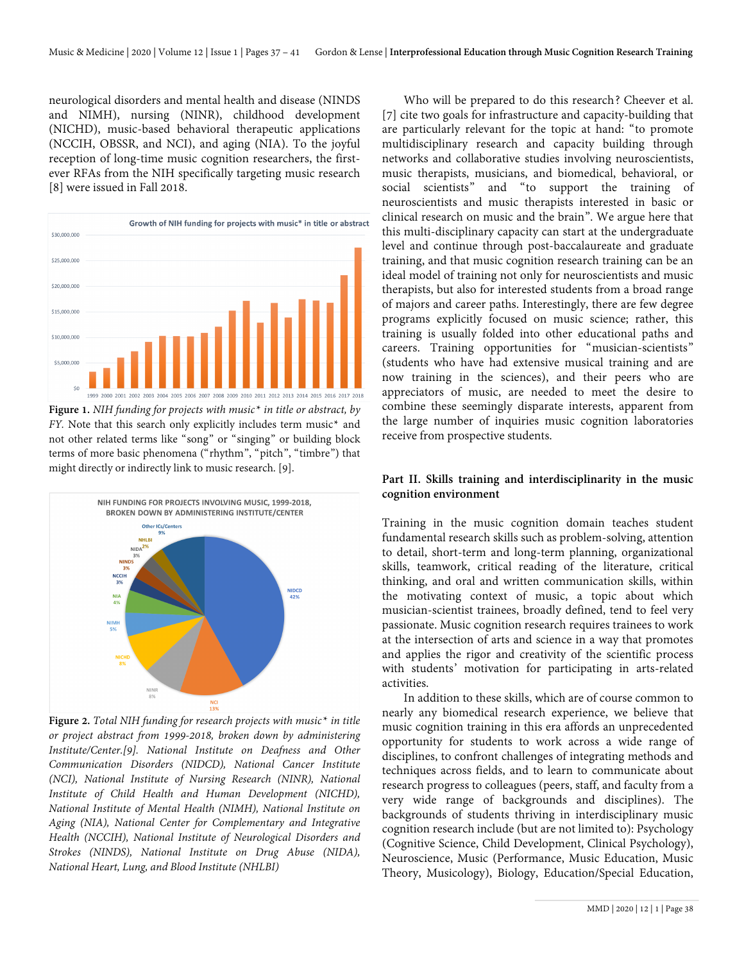neurological disorders and mental health and disease (NINDS and NIMH), nursing (NINR), childhood development (NICHD), music-based behavioral therapeutic applications (NCCIH, OBSSR, and NCI), and aging (NIA). To the joyful reception of long-time music cognition researchers, the firstever RFAs from the NIH specifically targeting music research [8] were issued in Fall 2018.



**Figure 1.** *NIH funding for projects with music\* in title or abstract, by FY.* Note that this search only explicitly includes term music\* and not other related terms like "song" or "singing" or building block terms of more basic phenomena ("rhythm", "pitch", "timbre") that might directly or indirectly link to music research. [9].



**Figure 2.** *Total NIH funding for research projects with music\* in title or project abstract from 1999-2018, broken down by administering Institute/Center.*[9]. National Institute on Deafness and Other *Communication Disorders (NIDCD), National Cancer Institute (NCI), National Institute of Nursing Research (NINR), National Institute of Child Health and Human Development (NICHD), National Institute of Mental Health (NIMH), National Institute on Aging (NIA), National Center for Complementary and Integrative Health (NCCIH), National Institute of Neurological Disorders and Strokes (NINDS), National Institute on Drug Abuse (NIDA), National Heart, Lung, and Blood Institute (NHLBI)*

Who will be prepared to do this research? Cheever et al. [7] cite two goals for infrastructure and capacity-building that are particularly relevant for the topic at hand: "to promote multidisciplinary research and capacity building through networks and collaborative studies involving neuroscientists, music therapists, musicians, and biomedical, behavioral, or social scientists" and "to support the training of neuroscientists and music therapists interested in basic or clinical research on music and the brain". We argue here that this multi-disciplinary capacity can start at the undergraduate level and continue through post-baccalaureate and graduate training, and that music cognition research training can be an ideal model of training not only for neuroscientists and music therapists, but also for interested students from a broad range of majors and career paths. Interestingly, there are few degree programs explicitly focused on music science; rather, this training is usually folded into other educational paths and careers. Training opportunities for "musician-scientists" (students who have had extensive musical training and are now training in the sciences), and their peers who are appreciators of music, are needed to meet the desire to combine these seemingly disparate interests, apparent from the large number of inquiries music cognition laboratories receive from prospective students.

#### **Part II. Skills training and interdisciplinarity in the music cognition environment**

Training in the music cognition domain teaches student fundamental research skills such as problem-solving, attention to detail, short-term and long-term planning, organizational skills, teamwork, critical reading of the literature, critical thinking, and oral and written communication skills, within the motivating context of music, a topic about which musician-scientist trainees, broadly defined, tend to feel very passionate. Music cognition research requires trainees to work at the intersection of arts and science in a way that promotes and applies the rigor and creativity of the scientific process with students' motivation for participating in arts-related activities.

In addition to these skills, which are of course common to nearly any biomedical research experience, we believe that music cognition training in this era affords an unprecedented opportunity for students to work across a wide range of disciplines, to confront challenges of integrating methods and techniques across fields, and to learn to communicate about research progress to colleagues (peers, staff, and faculty from a very wide range of backgrounds and disciplines). The backgrounds of students thriving in interdisciplinary music cognition research include (but are not limited to): Psychology (Cognitive Science, Child Development, Clinical Psychology), Neuroscience, Music (Performance, Music Education, Music Theory, Musicology), Biology, Education/Special Education,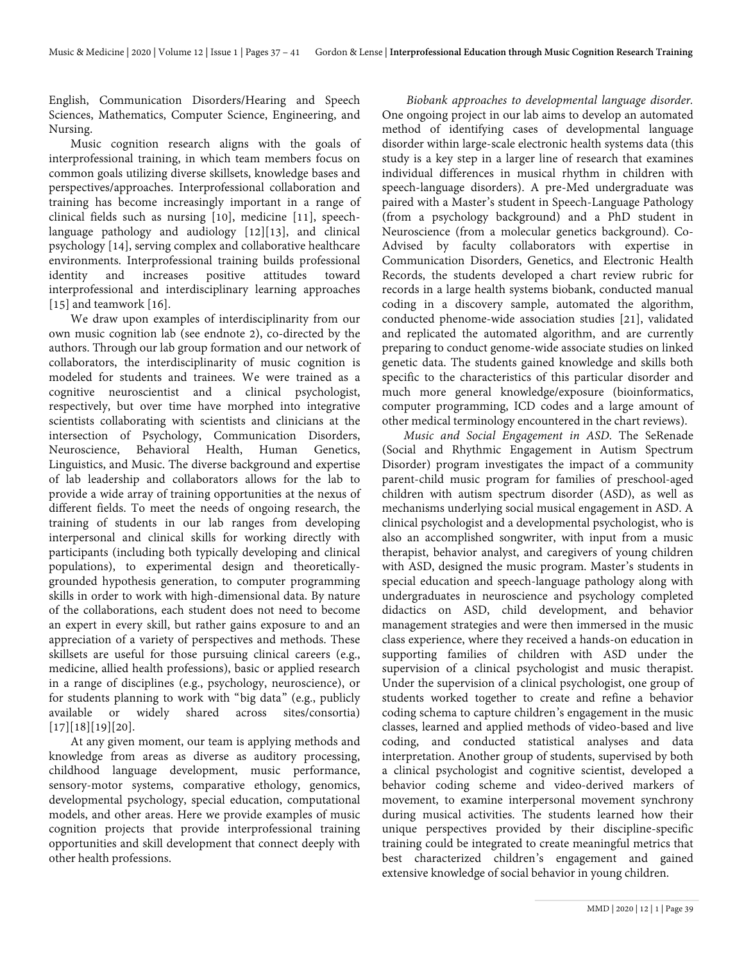English, Communication Disorders/Hearing and Speech Sciences, Mathematics, Computer Science, Engineering, and Nursing.

Music cognition research aligns with the goals of interprofessional training, in which team members focus on common goals utilizing diverse skillsets, knowledge bases and perspectives/approaches. Interprofessional collaboration and training has become increasingly important in a range of clinical fields such as nursing [10], medicine [11], speechlanguage pathology and audiology [12][13], and clinical psychology [14], serving complex and collaborative healthcare environments. Interprofessional training builds professional identity and increases positive attitudes toward interprofessional and interdisciplinary learning approaches [15] and teamwork [16].

We draw upon examples of interdisciplinarity from our own music cognition lab (see endnote 2), co-directed by the authors. Through our lab group formation and our network of collaborators, the interdisciplinarity of music cognition is modeled for students and trainees. We were trained as a cognitive neuroscientist and a clinical psychologist, respectively, but over time have morphed into integrative scientists collaborating with scientists and clinicians at the intersection of Psychology, Communication Disorders, Neuroscience, Behavioral Health, Human Genetics, Linguistics, and Music. The diverse background and expertise of lab leadership and collaborators allows for the lab to provide a wide array of training opportunities at the nexus of different fields. To meet the needs of ongoing research, the training of students in our lab ranges from developing interpersonal and clinical skills for working directly with participants (including both typically developing and clinical populations), to experimental design and theoreticallygrounded hypothesis generation, to computer programming skills in order to work with high-dimensional data. By nature of the collaborations, each student does not need to become an expert in every skill, but rather gains exposure to and an appreciation of a variety of perspectives and methods. These skillsets are useful for those pursuing clinical careers (e.g., medicine, allied health professions), basic or applied research in a range of disciplines (e.g., psychology, neuroscience), or for students planning to work with "big data" (e.g., publicly available or widely shared across sites/consortia) [17][18][19][20].

At any given moment, our team is applying methods and knowledge from areas as diverse as auditory processing, childhood language development, music performance, sensory-motor systems, comparative ethology, genomics, developmental psychology, special education, computational models, and other areas. Here we provide examples of music cognition projects that provide interprofessional training opportunities and skill development that connect deeply with other health professions.

*Biobank approaches to developmental language disorder.*  One ongoing project in our lab aims to develop an automated method of identifying cases of developmental language disorder within large-scale electronic health systems data (this study is a key step in a larger line of research that examines individual differences in musical rhythm in children with speech-language disorders). A pre-Med undergraduate was paired with a Master's student in Speech-Language Pathology (from a psychology background) and a PhD student in Neuroscience (from a molecular genetics background). Co-Advised by faculty collaborators with expertise in Communication Disorders, Genetics, and Electronic Health Records, the students developed a chart review rubric for records in a large health systems biobank, conducted manual coding in a discovery sample, automated the algorithm, conducted phenome-wide association studies [21], validated and replicated the automated algorithm, and are currently preparing to conduct genome-wide associate studies on linked genetic data. The students gained knowledge and skills both specific to the characteristics of this particular disorder and much more general knowledge/exposure (bioinformatics, computer programming, ICD codes and a large amount of other medical terminology encountered in the chart reviews).

*Music and Social Engagement in ASD*. The SeRenade (Social and Rhythmic Engagement in Autism Spectrum Disorder) program investigates the impact of a community parent-child music program for families of preschool-aged children with autism spectrum disorder (ASD), as well as mechanisms underlying social musical engagement in ASD. A clinical psychologist and a developmental psychologist, who is also an accomplished songwriter, with input from a music therapist, behavior analyst, and caregivers of young children with ASD, designed the music program. Master's students in special education and speech-language pathology along with undergraduates in neuroscience and psychology completed didactics on ASD, child development, and behavior management strategies and were then immersed in the music class experience, where they received a hands-on education in supporting families of children with ASD under the supervision of a clinical psychologist and music therapist. Under the supervision of a clinical psychologist, one group of students worked together to create and refine a behavior coding schema to capture children's engagement in the music classes, learned and applied methods of video-based and live coding, and conducted statistical analyses and data interpretation. Another group of students, supervised by both a clinical psychologist and cognitive scientist, developed a behavior coding scheme and video-derived markers of movement, to examine interpersonal movement synchrony during musical activities. The students learned how their unique perspectives provided by their discipline-specific training could be integrated to create meaningful metrics that best characterized children's engagement and gained extensive knowledge of social behavior in young children.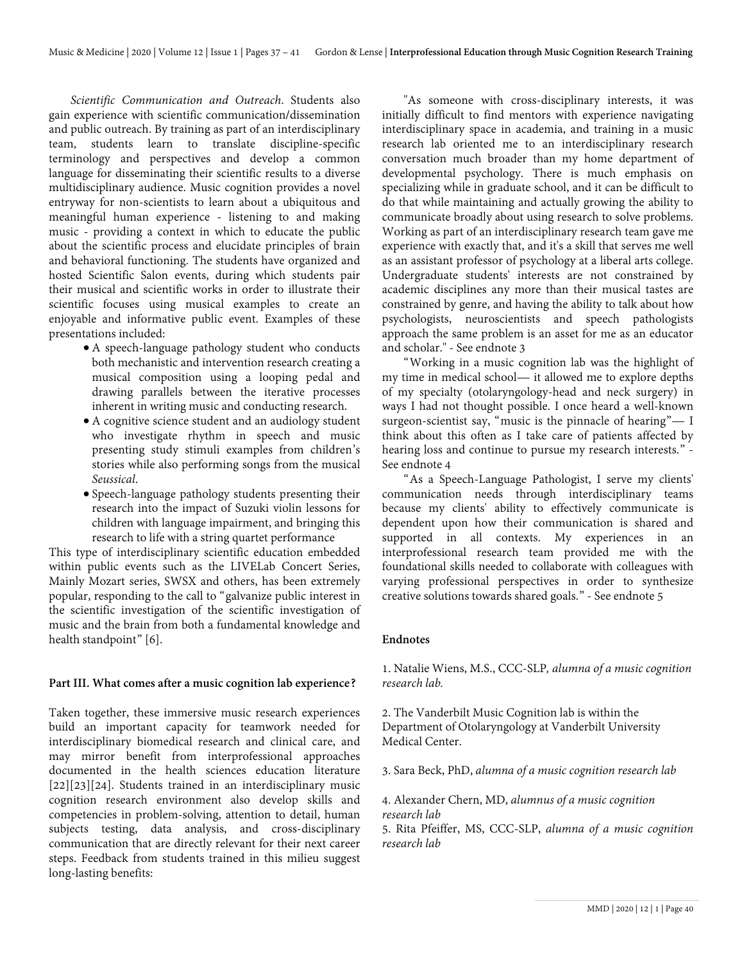*Scientific Communication and Outreach*. Students also gain experience with scientific communication/dissemination and public outreach. By training as part of an interdisciplinary team, students learn to translate discipline-specific terminology and perspectives and develop a common language for disseminating their scientific results to a diverse multidisciplinary audience. Music cognition provides a novel entryway for non-scientists to learn about a ubiquitous and meaningful human experience - listening to and making music - providing a context in which to educate the public about the scientific process and elucidate principles of brain and behavioral functioning. The students have organized and hosted Scientific Salon events, during which students pair their musical and scientific works in order to illustrate their scientific focuses using musical examples to create an enjoyable and informative public event. Examples of these presentations included:

- A speech-language pathology student who conducts both mechanistic and intervention research creating a musical composition using a looping pedal and drawing parallels between the iterative processes inherent in writing music and conducting research.
- A cognitive science student and an audiology student who investigate rhythm in speech and music presenting study stimuli examples from children's stories while also performing songs from the musical *Seussical*.
- Speech-language pathology students presenting their research into the impact of Suzuki violin lessons for children with language impairment, and bringing this research to life with a string quartet performance

This type of interdisciplinary scientific education embedded within public events such as the LIVELab Concert Series, Mainly Mozart series, SWSX and others, has been extremely popular, responding to the call to "galvanize public interest in the scientific investigation of the scientific investigation of music and the brain from both a fundamental knowledge and health standpoint" [6].

# **Part III. What comes after a music cognition lab experience?**

Taken together, these immersive music research experiences build an important capacity for teamwork needed for interdisciplinary biomedical research and clinical care, and may mirror benefit from interprofessional approaches documented in the health sciences education literature [22][23][24]. Students trained in an interdisciplinary music cognition research environment also develop skills and competencies in problem-solving, attention to detail, human subjects testing, data analysis, and cross-disciplinary communication that are directly relevant for their next career steps. Feedback from students trained in this milieu suggest long-lasting benefits:

"As someone with cross-disciplinary interests, it was initially difficult to find mentors with experience navigating interdisciplinary space in academia, and training in a music research lab oriented me to an interdisciplinary research conversation much broader than my home department of developmental psychology. There is much emphasis on specializing while in graduate school, and it can be difficult to do that while maintaining and actually growing the ability to communicate broadly about using research to solve problems. Working as part of an interdisciplinary research team gave me experience with exactly that, and it's a skill that serves me well as an assistant professor of psychology at a liberal arts college. Undergraduate students' interests are not constrained by academic disciplines any more than their musical tastes are constrained by genre, and having the ability to talk about how psychologists, neuroscientists and speech pathologists approach the same problem is an asset for me as an educator and scholar." - See endnote 3

"Working in a music cognition lab was the highlight of my time in medical school— it allowed me to explore depths of my specialty (otolaryngology-head and neck surgery) in ways I had not thought possible. I once heard a well-known surgeon-scientist say, "music is the pinnacle of hearing"— I think about this often as I take care of patients affected by hearing loss and continue to pursue my research interests." - See endnote 4

"As a Speech-Language Pathologist, I serve my clients' communication needs through interdisciplinary teams because my clients' ability to effectively communicate is dependent upon how their communication is shared and supported in all contexts. My experiences in an interprofessional research team provided me with the foundational skills needed to collaborate with colleagues with varying professional perspectives in order to synthesize creative solutions towards shared goals." - See endnote 5

# **Endnotes**

1. Natalie Wiens, M.S., CCC-SLP*, alumna of a music cognition research lab.*

2. The Vanderbilt Music Cognition lab is within the Department of Otolaryngology at Vanderbilt University Medical Center.

3. Sara Beck, PhD, *alumna of a music cognition research lab*

4. Alexander Chern, MD, *alumnus of a music cognition research lab*

5. Rita Pfeiffer, MS, CCC-SLP, *alumna of a music cognition research lab*